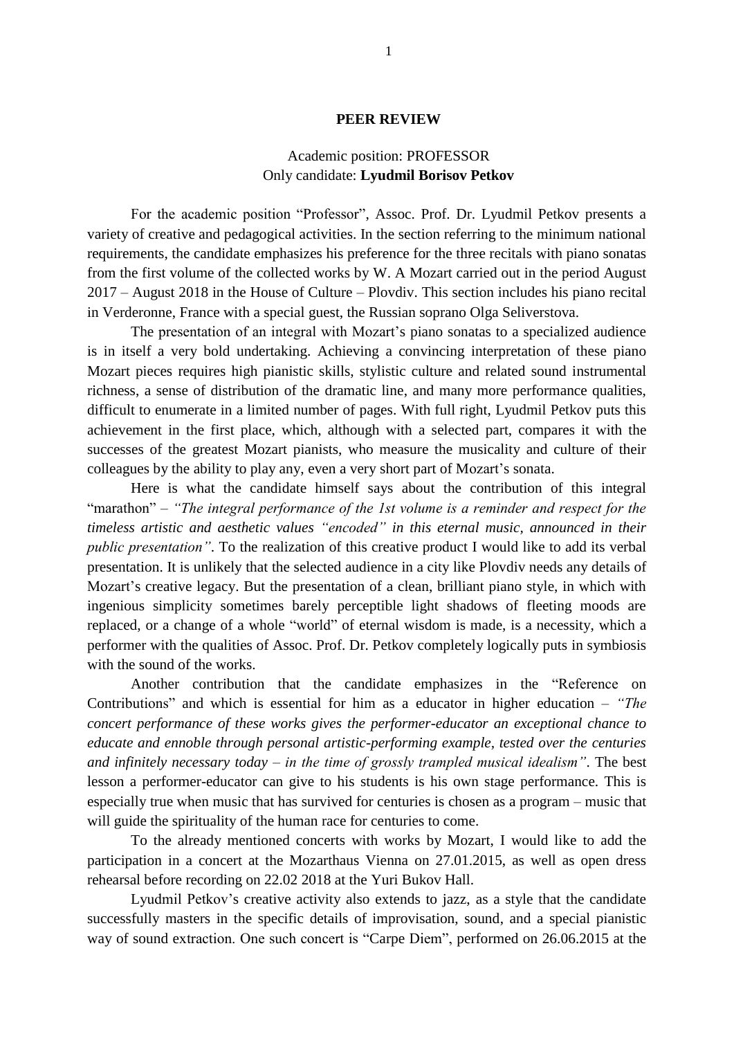## **PEER REVIEW**

## Academic position: PROFESSOR Only candidate: **Lyudmil Borisov Petkov**

For the academic position "Professor", Assoc. Prof. Dr. Lyudmil Petkov presents a variety of creative and pedagogical activities. In the section referring to the minimum national requirements, the candidate emphasizes his preference for the three recitals with piano sonatas from the first volume of the collected works by W. A Mozart carried out in the period August 2017 – August 2018 in the House of Culture – Plovdiv. This section includes his piano recital in Verderonne, France with a special guest, the Russian soprano Olga Seliverstova.

The presentation of an integral with Mozart's piano sonatas to a specialized audience is in itself a very bold undertaking. Achieving a convincing interpretation of these piano Mozart pieces requires high pianistic skills, stylistic culture and related sound instrumental richness, a sense of distribution of the dramatic line, and many more performance qualities, difficult to enumerate in a limited number of pages. With full right, Lyudmil Petkov puts this achievement in the first place, which, although with a selected part, compares it with the successes of the greatest Mozart pianists, who measure the musicality and culture of their colleagues by the ability to play any, even a very short part of Mozart's sonata.

Here is what the candidate himself says about the contribution of this integral "marathon" – *"The integral performance of the 1st volume is a reminder and respect for the timeless artistic and aesthetic values "encoded" in this eternal music, announced in their public presentation"*. To the realization of this creative product I would like to add its verbal presentation. It is unlikely that the selected audience in a city like Plovdiv needs any details of Mozart's creative legacy. But the presentation of a clean, brilliant piano style, in which with ingenious simplicity sometimes barely perceptible light shadows of fleeting moods are replaced, or a change of a whole "world" of eternal wisdom is made, is a necessity, which a performer with the qualities of Assoc. Prof. Dr. Petkov completely logically puts in symbiosis with the sound of the works.

Another contribution that the candidate emphasizes in the "Reference on Contributions" and which is essential for him as a educator in higher education – *"The concert performance of these works gives the performer-educator an exceptional chance to educate and ennoble through personal artistic-performing example, tested over the centuries and infinitely necessary today – in the time of grossly trampled musical idealism"*. The best lesson a performer-educator can give to his students is his own stage performance. This is especially true when music that has survived for centuries is chosen as a program – music that will guide the spirituality of the human race for centuries to come.

To the already mentioned concerts with works by Mozart, I would like to add the participation in a concert at the Mozarthaus Vienna on 27.01.2015, as well as open dress rehearsal before recording on 22.02 2018 at the Yuri Bukov Hall.

Lyudmil Petkov's creative activity also extends to jazz, as a style that the candidate successfully masters in the specific details of improvisation, sound, and a special pianistic way of sound extraction. One such concert is "Carpe Diem", performed on 26.06.2015 at the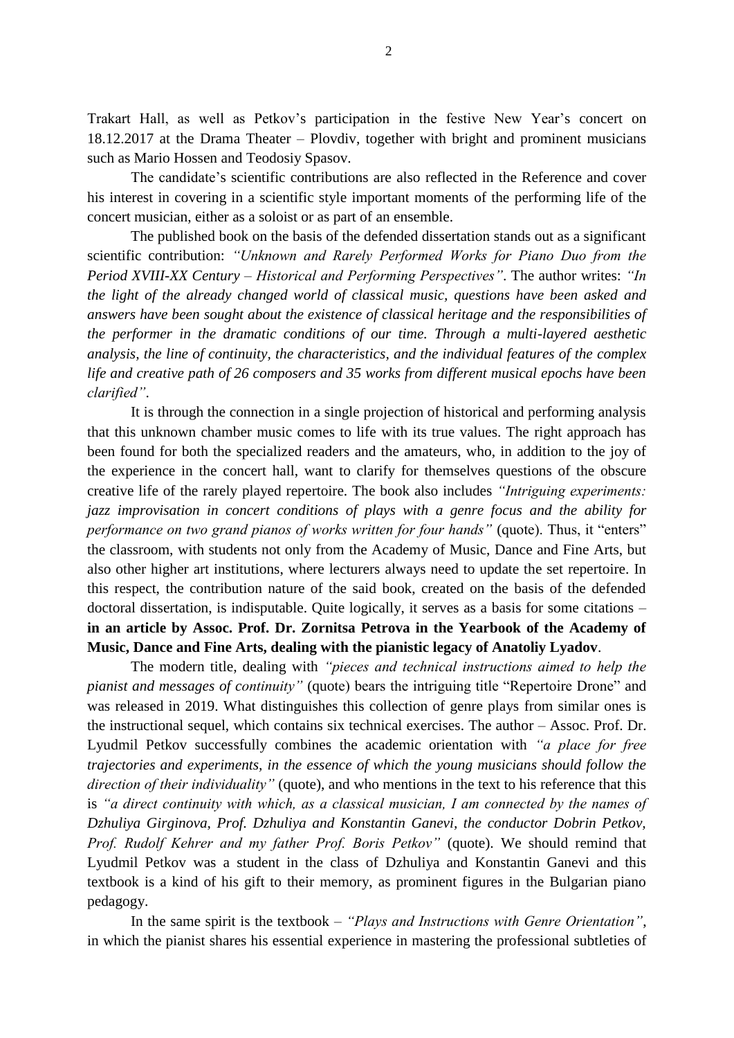Trakart Hall, as well as Petkov's participation in the festive New Year's concert on 18.12.2017 at the Drama Theater – Plovdiv, together with bright and prominent musicians such as Mario Hossen and Teodosiy Spasov.

The candidate's scientific contributions are also reflected in the Reference and cover his interest in covering in a scientific style important moments of the performing life of the concert musician, either as a soloist or as part of an ensemble.

The published book on the basis of the defended dissertation stands out as a significant scientific contribution: *"Unknown and Rarely Performed Works for Piano Duo from the Period XVIII-XX Century – Historical and Performing Perspectives"*. The author writes: *"In the light of the already changed world of classical music, questions have been asked and answers have been sought about the existence of classical heritage and the responsibilities of the performer in the dramatic conditions of our time. Through a multi-layered aesthetic analysis, the line of continuity, the characteristics, and the individual features of the complex life and creative path of 26 composers and 35 works from different musical epochs have been clarified"*.

It is through the connection in a single projection of historical and performing analysis that this unknown chamber music comes to life with its true values. The right approach has been found for both the specialized readers and the amateurs, who, in addition to the joy of the experience in the concert hall, want to clarify for themselves questions of the obscure creative life of the rarely played repertoire. The book also includes *"Intriguing experiments: jazz improvisation in concert conditions of plays with a genre focus and the ability for performance on two grand pianos of works written for four hands"* (quote). Thus, it "enters" the classroom, with students not only from the Academy of Music, Dance and Fine Arts, but also other higher art institutions, where lecturers always need to update the set repertoire. In this respect, the contribution nature of the said book, created on the basis of the defended doctoral dissertation, is indisputable. Quite logically, it serves as a basis for some citations – **in an article by Assoc. Prof. Dr. Zornitsa Petrova in the Yearbook of the Academy of Music, Dance and Fine Arts, dealing with the pianistic legacy of Anatoliy Lyadov**.

The modern title, dealing with *"pieces and technical instructions aimed to help the pianist and messages of continuity"* (quote) bears the intriguing title "Repertoire Drone" and was released in 2019. What distinguishes this collection of genre plays from similar ones is the instructional sequel, which contains six technical exercises. The author – Assoc. Prof. Dr. Lyudmil Petkov successfully combines the academic orientation with *"a place for free trajectories and experiments, in the essence of which the young musicians should follow the direction of their individuality"* (quote), and who mentions in the text to his reference that this is *"a direct continuity with which, as a classical musician, I am connected by the names of Dzhuliya Girginova, Prof. Dzhuliya and Konstantin Ganevi, the conductor Dobrin Petkov, Prof. Rudolf Kehrer and my father Prof. Boris Petkov"* (quote). We should remind that Lyudmil Petkov was a student in the class of Dzhuliya and Konstantin Ganevi and this textbook is a kind of his gift to their memory, as prominent figures in the Bulgarian piano pedagogy.

In the same spirit is the textbook – *"Plays and Instructions with Genre Orientation"*, in which the pianist shares his essential experience in mastering the professional subtleties of